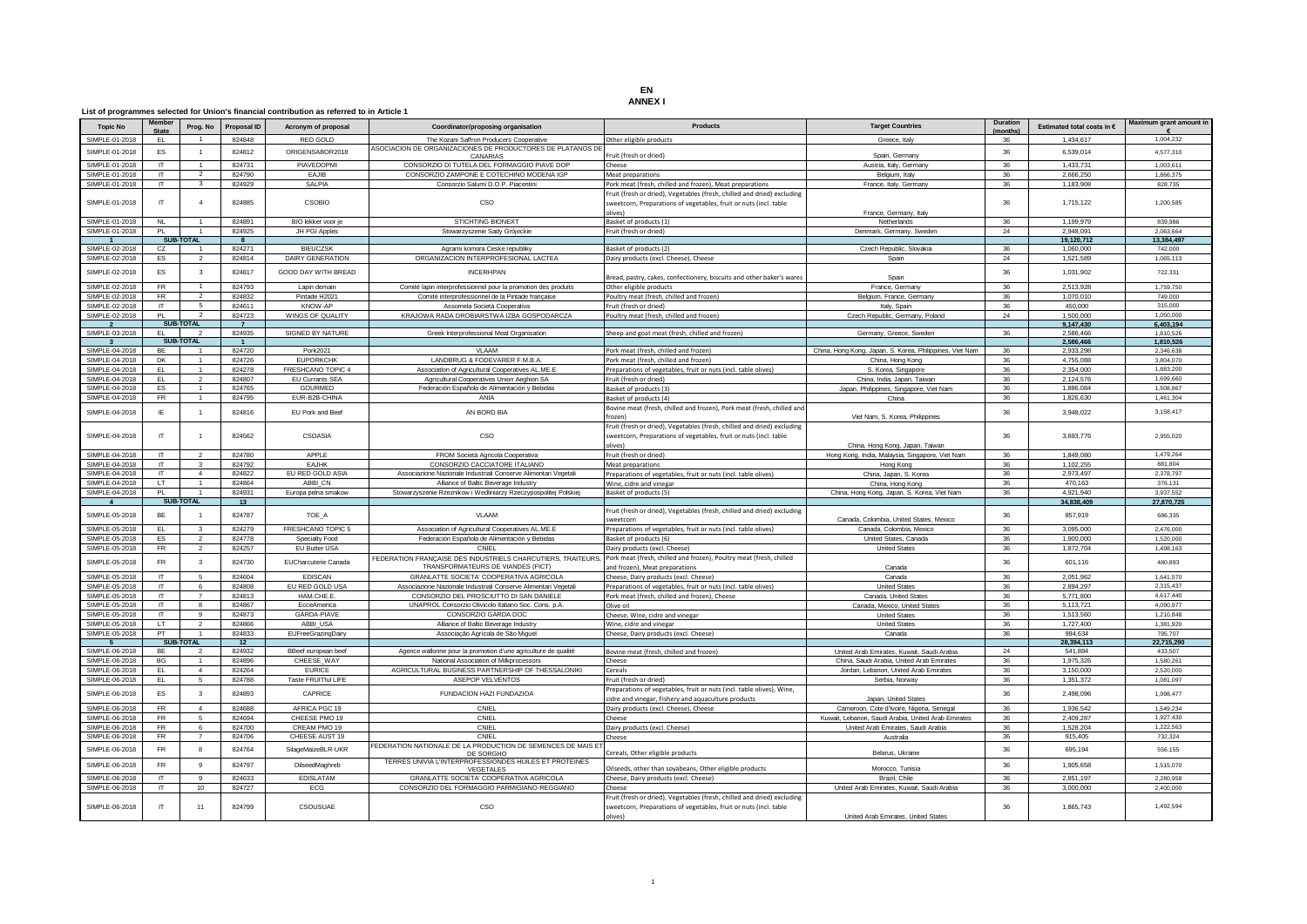## **EN ANNEX I**

## **List of programmes selected for Union's financial contribution as referred to in Article 1**

| <b>Topic No</b> | embe<br><b>State</b> | Prog. No                 | <b>Proposal ID</b> | Acronym of proposal     | Coordinator/proposing organisation                                                               | Products                                                                                                                                                | <b>Target Countries</b>                                  | Duration<br>(months) | Estimated total costs in € | Maximum grant amount in |
|-----------------|----------------------|--------------------------|--------------------|-------------------------|--------------------------------------------------------------------------------------------------|---------------------------------------------------------------------------------------------------------------------------------------------------------|----------------------------------------------------------|----------------------|----------------------------|-------------------------|
| SIMPLE-01-2018  | EL.                  | $\overline{1}$           | 824848             | RED GOLD                | The Kozani Saffron Producers Cooperative                                                         | Other eligible products                                                                                                                                 | Greece, Italy                                            | 36                   | 1,434,617                  | 1.004.232               |
| SIMPLE-01-2018  | FS.                  | $\overline{1}$           | 824812             | ORIGENSABOR2018         | ASOCIACION DE ORGANIZACIONES DE PRODUCTORES DE PLATANOS DI                                       |                                                                                                                                                         |                                                          | 36                   | 6,539,014                  | 4.577.310               |
|                 |                      |                          |                    |                         | CANARIAS                                                                                         | Fruit (fresh or dried)                                                                                                                                  | Spain, Germany                                           |                      |                            |                         |
| SIMPLE-01-2018  | $\overline{r}$       | $\overline{1}$           | 824731             | PIAVEDOPMI              | CONSORZIO DI TUTELA DEL FORMAGGIO PIAVE DOP                                                      | Cheese                                                                                                                                                  | Austria, Italy, Germany                                  | 36                   | 1,433,731                  | 1,003,611               |
| SIMPLE-01-2018  | $\mathsf{L}$         | $\overline{2}$           | 824790             | EAJIB                   | CONSORZIO ZAMPONE E COTECHINO MODENA IGP                                                         | Meat preparations                                                                                                                                       | Belgium, Italy                                           | 36                   | 2,666,250                  | 1,866,375               |
| SIMPLE-01-2018  | $\Pi$                | $\overline{\mathbf{3}}$  | 824929             | SALPIA                  | Consorzio Salumi D.O.P. Piacentini                                                               | Pork meat (fresh, chilled and frozen), Meat preparations                                                                                                | France, Italy, Germany                                   | 36                   | 1,183,908                  | 828,735                 |
| SIMPLE-01-2018  | $^{\text{II}}$       | $\overline{4}$           | 824885             | <b>CSOBIO</b>           | CSO                                                                                              | Fruit (fresh or dried), Vegetables (fresh, chilled and dried) excluding<br>sweetcorn, Preparations of vegetables, fruit or nuts (incl. table<br>olives) | France, Germany, Italy                                   | 36                   | 1,715,122                  | 1.200.585               |
| SIMPLE-01-2018  | NL                   | $\mathbf{1}$             | 824891             | BIO lekker voor je      | STICHTING BIONEXT                                                                                | Basket of products (1)                                                                                                                                  | Netherlands                                              | 36                   | 1,199,979                  | 839,986                 |
| SIMPLE-01-2018  | <b>PI</b>            | $\overline{1}$           | 824925             | JH PGI Apples           | Stowarzyszenie Sady Grójeckie                                                                    | Fruit (fresh or dried)                                                                                                                                  | Denmark, Germany, Sweden                                 | 24                   | 2,948,091                  | 2.063.664               |
|                 |                      | SUB-TOTAL                | $\mathbf{R}$       |                         |                                                                                                  |                                                                                                                                                         |                                                          |                      | 19,120,712                 | 13,384,497              |
| SIMPLE-02-2018  | CZ                   | $\overline{1}$           | 824271             | <b>BIEUCZSK</b>         | Agrarni komora Ceske republiky                                                                   | Basket of products (2)                                                                                                                                  | Czech Republic, Slovakia                                 | 36                   | 1,060,000                  | 742,000                 |
| SIMPLE-02-2018  | ES                   | $\overline{2}$           | 824814             | <b>DAIRY GENERATION</b> | ORGANIZACION INTERPROFESIONAL LACTEA                                                             | Dairy products (excl. Cheese), Cheese                                                                                                                   | Spain                                                    | 24                   | 1.521.589                  | 1.065.113               |
| SIMPLE-02-2018  | <b>FS</b>            | $\mathbf{3}$             | 824817             | GOOD DAY WITH BREAD     | <b>INCERHPAN</b>                                                                                 | Bread, pastry, cakes, confectionery, biscuits and other baker's wares                                                                                   | Spain                                                    | 36                   | 1,031,902                  | 722,331                 |
| SIMPLE-02-2018  | <b>FR</b>            | $\overline{1}$           | 824793             | Lapin demain            | Comité lapin interprofessionnel pour la promotion des produits                                   | Other eligible products                                                                                                                                 | France, Germany                                          | 36                   | 2.513.928                  | 1,759,750               |
| SIMPLE-02-2018  | FR.                  | $\overline{2}$           | 824832             | Pintade H2021           | Comité interprofessionnel de la Pintade française                                                | Poultry meat (fresh, chilled and frozen)                                                                                                                | Belgium, France, Germany                                 | 36                   | 1.070.010                  | 749,000                 |
| SIMPLE-02-2018  | $\mathsf{L}$         | $\sqrt{5}$               | 824611             | <b>KNOW-AP</b>          | Assomela Società Cooperativa                                                                     | Fruit (fresh or dried)                                                                                                                                  | Italy, Spain                                             | 36                   | 450,000                    | 315,000                 |
| SIMPLE-02-2018  | PI.                  | $\overline{2}$           | 824723             | WINGS OF QUALITY        | KRAJOWA RADA DROBIARSTWA IZBA GOSPODARCZA                                                        | Poultry meat (fresh, chilled and frozen)                                                                                                                | Czech Republic, Germany, Poland                          | 24                   | 1,500,000                  | 1.050.000               |
|                 |                      | SUB-TOTAL                | $\overline{7}$     |                         |                                                                                                  |                                                                                                                                                         |                                                          |                      | 9,147,430                  | 6,403,194               |
| SIMPLE-03-2018  | EL.                  | $\overline{2}$           | 824935             | SIGNED BY NATURE        | Greek Interprofessional Meat Organisation                                                        | Sheep and goat meat (fresh, chilled and frozen)                                                                                                         | Germany, Greece, Sweden                                  | 36                   | 2.586.466                  | 1.810.526               |
|                 |                      | SUB-TOTAL                | $\overline{1}$     |                         |                                                                                                  |                                                                                                                                                         |                                                          |                      | 2,586,466                  | 1,810,526               |
| SIMPLE-04-2018  | <b>BF</b>            | $\overline{1}$           | 824720             | Pork2021                | VLAAM                                                                                            | Pork meat (fresh, chilled and frozen)                                                                                                                   | China, Hong Kong, Japan, S. Korea, Philippines, Viet Nam | 36                   | 2.933.298                  | 2.346.638               |
| SIMPLE-04-2018  | <b>DK</b>            | $\overline{1}$           | 824726             | <b>EUPORKCHK</b>        | LANDBRUG & FODEVARER F.M.B.A.                                                                    | Pork meat (fresh, chilled and frozen)                                                                                                                   | China, Hong Kong                                         | 36                   | 4.755.088                  | 3.804.070               |
| SIMPLE-04-2018  | EL.                  | -1                       | 824278             | FRESHCANO TOPIC 4       | Association of Agricultural Cooperatives AL.ME.E                                                 | Preparations of vegetables, fruit or nuts (incl. table olives)                                                                                          | S. Korea, Singapore                                      | 36                   | 2,354,000                  | 1,883,200               |
| SIMPLE-04-2018  | EL.                  | $\overline{2}$           | 824807             | EU Currants SEA         | Agricultural Cooperatives Union Aeghion SA                                                       | Fruit (fresh or dried)                                                                                                                                  | China, India, Japan, Taiwan                              | 36                   | 2.124.576                  | 1.699.660               |
| SIMPLE-04-2018  | FS.                  | $\sim$                   | 824765             | GOURMED                 | Federación Española de Alimentación y Bebidas                                                    | Basket of products (3)                                                                                                                                  | Japan, Philippines, Singapore, Viet Nam                  | 36                   | 1.886.084                  | 1.508.867               |
| SIMPLE-04-2018  | FR.                  | $\mathbf{1}$             | 824795             | EUR-B2B-CHINA           | ANIA                                                                                             | Basket of products (4)                                                                                                                                  | China                                                    | 36                   | 1.826.630                  | 1.461.304               |
|                 |                      |                          |                    |                         |                                                                                                  | Bovine meat (fresh, chilled and frozen), Pork meat (fresh, chilled and                                                                                  |                                                          |                      |                            |                         |
| SIMPLE-04-2018  | IE.                  | $\overline{1}$           | 824816             | FU Pork and Beet        | AN BORD BIA                                                                                      | frozenl<br>Fruit (fresh or dried), Vegetables (fresh, chilled and dried) excluding                                                                      | Viet Nam, S. Korea, Philippines                          | 36                   | 3.948.022                  | 3.158.417               |
| SIMPI F-04-2018 | $^{\text{IT}}$       |                          | 824562             | CSOASIA                 | CSO                                                                                              | sweetcorn, Preparations of vegetables, fruit or nuts (incl. table<br>olives)                                                                            | China, Hong Kong, Japan, Taiwan                          | 36                   | 3,693,776                  | 2.955.020               |
| SIMPLE-04-2018  | $\Pi$                | $\mathcal{P}$            | 824780             | APPLE                   | FROM Società Agricola Cooperativa                                                                | Fruit (fresh or dried)                                                                                                                                  | Hong Kong, India, Malaysia, Singapore, Viet Nam          | 36                   | 1849.080                   | 1479264                 |
| SIMPLE-04-2018  | $\mathsf{L}$         | 3                        | 824792             | FA.IHK                  | CONSORZIO CACCIATORE ITALIANO                                                                    | Meat preparations                                                                                                                                       | Hong Kong                                                | 36                   | 1.102.255                  | 881,804                 |
| SIMPLE-04-2018  | $\mathsf{L}$         | 4                        | 824822             | EU RED GOLD ASIA        | Associazione Nazionale Industriali Conserve Alimentari Vegetali                                  | Preparations of vegetables, fruit or nuts (incl. table olives)                                                                                          | China, Japan, S. Korea                                   | 36                   | 2,973,497                  | 2.378.797               |
| SIMPLE-04-2018  | LT.                  | $\overline{1}$           | 824864             | ABBI_CN                 | Alliance of Baltic Beverage Industry                                                             | Wine, cidre and vinegar                                                                                                                                 | China, Hong Kong                                         | 36                   | 470.163                    | 376,131                 |
| SIMPLE-04-2018  | PI                   | $\overline{1}$           | 824931             | Europa pelna smakow     | Stowarzyszenie Rzeznikow i Wedliniarzy Rzeczypospolitej Polskiej                                 | Basket of products (5)                                                                                                                                  | China, Hong Kong, Japan, S. Korea, Viet Nam              | 36                   | 4.921.940                  | 3.937.552               |
| $\mathbf{A}$    |                      | SUB-TOTAL                | 13                 |                         |                                                                                                  |                                                                                                                                                         |                                                          |                      | 34,838,409                 | 27,870,725              |
| SIMPLE-05-2018  | BE                   | $\overline{1}$           | 824787             | TOE A                   | VLAAM                                                                                            | Fruit (fresh or dried), Vegetables (fresh, chilled and dried) excluding<br>sweetcorn                                                                    | Canada, Colombia, United States, Mexico                  | 36                   | 857,919                    | 686.335                 |
| SIMPLE-05-2018  | EL.                  | 3                        | 824279             | FRESHCANO TOPIC 5       | Association of Agricultural Cooperatives AL.ME.E                                                 | Preparations of vegetables, fruit or nuts (incl. table olives)                                                                                          | Canada, Colombia, Mexico                                 | 36                   | 3,095,000                  | 2,476,000               |
| SIMPLE-05-2018  | FS.                  | $\overline{2}$           | 824778             | Specialty Food          | Federación Española de Alimentación y Bebidas                                                    | Basket of products (6)                                                                                                                                  | United States, Canada                                    | 36                   | 1.900.000                  | 1,520,000               |
| SIMPLE-05-2018  | FR.                  | $\overline{2}$           | 824257             | EU Butter USA           | CNIEL                                                                                            | Dairy products (excl. Cheese)                                                                                                                           | <b>United States</b>                                     | 36                   | 1.872.704                  | 1.498.163               |
| SIMPLE-05-2018  | FR.                  | $\mathbf{3}$             | 824730             | EUCharcuterie Canada    | FEDERATION FRANÇAISE DES INDUSTRIELS CHARCUTIERS, TRAITEURS<br>TRANSFORMATEURS DE VIANDES (FICT) | Pork meat (fresh, chilled and frozen), Poultry meat (fresh, chilled<br>and frozen), Meat preparations                                                   | Canada                                                   | 36                   | 601.116                    | 480.893                 |
| SIMPLE-05-2018  | $\mathsf{I}$         | -5                       | 824604             | <b>EDISCAN</b>          | GRANLATTE SOCIETA' COOPERATIVA AGRICOLA                                                          | Cheese, Dairy products (excl. Cheese)                                                                                                                   | Canada                                                   | 36                   | 2.051.962                  | 1.641.570               |
| SIMPLE-05-2018  | $\mathsf{I}$         | 6                        | 824808             | EU RED GOLD USA         | Associazione Nazionale Industriali Conserve Alimentari Vegetali                                  | Preparations of vegetables, fruit or nuts (incl. table olives)                                                                                          | <b>United States</b>                                     | 36                   | 2.894.297                  | 2.315.437               |
| SIMPLE-05-2018  | $\mathsf{L}$         | $\overline{7}$           | 824813             | HAM.CHE.E.              | CONSORZIO DEL PROSCIUTTO DI SAN DANIELE                                                          | Pork meat (fresh, chilled and frozen), Cheese                                                                                                           | Canada, United States                                    | 36                   | 5,771,800                  | 4.617.440               |
| SIMPLE-05-2018  | $\mathsf{L}$         | 8                        | 824867             | EcceAmerica             | UNAPROL Consorzio Olivicolo Italiano Soc. Cons. p.A.                                             | Olive oil                                                                                                                                               | Canada, Mexico, United States                            | 36                   | 5,113,721                  | 4,090,977               |
| SIMPLE-05-2018  | $\mathsf{L}$         | $\mathbf{q}$             | 824873             | GARDA-PIAVE             | CONSORZIO GARDA DOC                                                                              | Cheese, Wine, cidre and vinegar                                                                                                                         | <b>United States</b>                                     | 36                   | 1.513.560                  | 1.210.848               |
| SIMPLE-05-2018  | LT.                  | $\overline{2}$           | 824866             | ABBI_USA                | Alliance of Baltic Beverage Industry                                                             | Wine, cidre and vinegar                                                                                                                                 | <b>United States</b>                                     | 36                   | 1,727,400                  | 1,381,920               |
| SIMPLE-05-2018  | PT                   | $\overline{1}$           | 824833             | EUFreeGrazingDairy      | Associação Agrícola de São Miguel                                                                | Cheese, Dairy products (excl. Cheese)                                                                                                                   | Canada                                                   | 36                   | 994.634                    | 795,707                 |
| -5              |                      | SUB-TOTAL                | 12                 |                         |                                                                                                  |                                                                                                                                                         |                                                          |                      | 28.394.113                 | 22,715,290              |
| SIMPLE-06-2018  | BE                   | $\overline{\phantom{0}}$ | 824932             | BBeef european beef     | Agence wallonne pour la promotion d'une agriculture de qualité                                   | Bovine meat (fresh, chilled and frozen)                                                                                                                 | United Arab Emirates, Kuwait, Saudi Arabia               | 24                   | 541.884                    | 433,507                 |
| SIMPLE-06-2018  | <b>BG</b>            | $\mathbf{1}$             | 824896             | CHFFSF WAY              | National Association of Milkprocessors                                                           | Cheese                                                                                                                                                  | China, Saudi Arabia, United Arab Emirates                | 36                   | 1.975.326                  | 1.580.261               |
| SIMPLE-06-2018  | EL.                  | 4                        | 824264             | <b>EURICE</b>           | AGRICULTURAL BUSINESS PARTNERSHIP OF THESSALONIKI                                                | Cereals                                                                                                                                                 | Jordan, Lebanon, United Arab Emirates                    | 36                   | 3,150,000                  | 2.520.000               |
| SIMPLE-06-2018  | EL.                  | $5\overline{5}$          | 824788             | Taste FRUITful LIFE     | ASEPOP VELVENTOS                                                                                 | Fruit (fresh or dried)                                                                                                                                  | Serbia, Norway                                           | 36                   | 1,351,372                  | 1,081,097               |
| SIMPLE-06-2018  | <b>FS</b>            | 3                        | 824893             | CAPRICE                 | FUNDACION HAZI FUNDAZIOA                                                                         | Preparations of vegetables, fruit or nuts (incl. table olives), Wine,<br>cidre and vinegar, Fishery and aquaculture products                            | Janan, United States                                     | 36                   | 2,498,096                  | 1,998,477               |
| SIMPLE-06-2018  | FR.                  | $\overline{4}$           | 824688             | AFRICA PGC 19           | CNIEL                                                                                            | Dairy products (excl. Cheese), Cheese                                                                                                                   | Cameroon, Cote d'Ivoire, Nigeria, Senegal                | 36                   | 1.936.542                  | 1.549.234               |
| SIMPLE-06-2018  | FR.                  | 5                        | 824694             | CHEESE PMO 19           | CNIEL                                                                                            | Cheese                                                                                                                                                  | Kuwait, Lebanon, Saudi Arabia, United Arab Emirates      | 36                   | 2,409,287                  | 1,927,430               |
| SIMPLE-06-2018  | FR.                  | 6                        | 824700             | CREAM PMO 19            | CNIEL                                                                                            | Dairy products (excl. Cheese)                                                                                                                           | United Arab Emirates, Saudi Arabia                       | 36                   | 1,528,204                  | 1,222,563               |
| SIMPLE-06-2018  | FR.                  | $\overline{7}$           | 824706             | CHEESE AUST 19          | CNIEL                                                                                            | Cheese                                                                                                                                                  | Australia                                                | 36                   | 915,405                    | 732 324                 |
| SIMPLE-06-2018  | FR.                  | 8                        | 824764             | SilageMaizeBLR-UKR      | EDERATION NATIONALE DE LA PRODUCTION DE SEMENCES DE MAIS E<br>DE SORGHO                          | Cereals, Other eligible products                                                                                                                        | Belarus, Ukraine                                         | 36                   | 695,194                    | 556.155                 |
| SIMPLE-06-2018  | <b>FR</b>            | $\alpha$                 | 824797             | OilseedMaghreb          | TERRES UNIVIA L'INTERPROFESSIONDES HUILES ET PROTEINES<br>VEGETALES                              | Oilseeds, other than soyabeans, Other eligible products                                                                                                 | Morocco, Tunisia                                         | 36                   | 1.905.658                  | 1.515.070               |
| SIMPLE-06-2018  | $\mathsf{I}$         | 9                        | 824633             | <b>EDISLATAM</b>        | GRANLATTE SOCIETA' COOPERATIVA AGRICOLA                                                          | Cheese, Dairy products (excl. Cheese)                                                                                                                   | Brazil, Chile                                            | 36                   | 2,851,197                  | 2.280.958               |
| SIMPLE-06-2018  | $\Pi$                | 10                       | 824727             | ECG                     | CONSORZIO DEL FORMAGGIO PARMIGIANO-REGGIANO                                                      | Cheese                                                                                                                                                  | United Arab Emirates, Kuwait, Saudi Arabia               | 36                   | 3,000,000                  | 2.400.000               |
| SIMPLE-06-2018  | $^{\text{IT}}$       | 11                       | 824799             | CSOUSUAE                | CSO                                                                                              | Fruit (fresh or dried), Vegetables (fresh, chilled and dried) excluding<br>sweetcorn, Preparations of vegetables, fruit or nuts (incl. table<br>(avilo  | United Arab Emirates. United States                      | 36                   | 1.865.743                  | 1,492,594               |